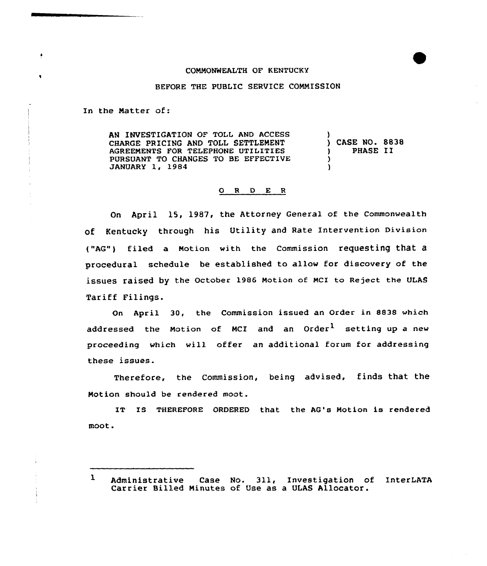## COMMONWEALTH OF KENTUCKY

## BEFORE THE PUBLIC SERVICE COMMISSION

In the Matter of:

AN INVESTIGATION OF TOLL AND ACCESS CHARGE PRICING AND TOLL SETTLEMENT AGREEMENTS FOR TELEPHONE UTILITIES PURSUANT TO CHANGES TO BE EFFECTIVE JANUARY 1, 1984 )  $\lambda$  $\lambda$ 

) CASE NO. 8838 ) PHASE II

## 0 <sup>R</sup> <sup>D</sup> E <sup>R</sup>

On April 1S, 1987, the Attorney Genera1 of the Commonwealth of Kentucky through his Utility and Rate Intervention Division ("AG") tiled a Notion with the commission requesting that a procedural schedule be established to allow for discovery of the issues raised by the october 1986 Motion of McI to Reject the ULAs Tariff Filings.

On April 30, the Commission issued an Order in 8838 which addressed the Motion of MCI and an Order<sup>1</sup> setting up a new proceeding which will offer an additional forum for addressing these issues.

Therefore, the Commission, being advised, finds that the Motion should be rendered moot.

IT IS THEREFORE ORDERED that the AG's Motion is rendered moot.

<sup>1</sup> Administrative Case No. 311, Investigation of InterLATA Carrier Billed Ninutes of Use as a ULAS Allocator.